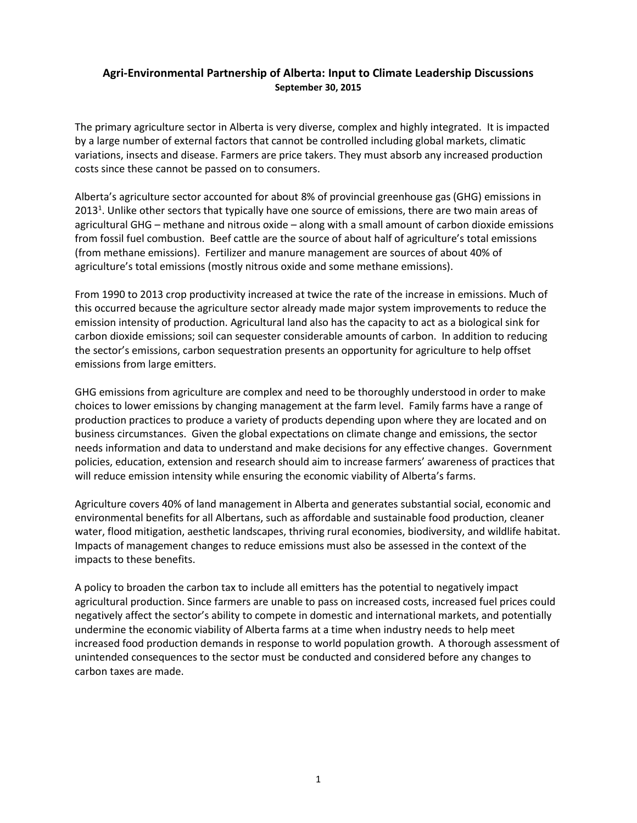## **Agri-Environmental Partnership of Alberta: Input to Climate Leadership Discussions September 30, 2015**

The primary agriculture sector in Alberta is very diverse, complex and highly integrated. It is impacted by a large number of external factors that cannot be controlled including global markets, climatic variations, insects and disease. Farmers are price takers. They must absorb any increased production costs since these cannot be passed on to consumers.

Alberta's agriculture sector accounted for about 8% of provincial greenhouse gas (GHG) emissions in 2013<sup>1</sup>. Unlike other sectors that typically have one source of emissions, there are two main areas of agricultural GHG – methane and nitrous oxide – along with a small amount of carbon dioxide emissions from fossil fuel combustion. Beef cattle are the source of about half of agriculture's total emissions (from methane emissions). Fertilizer and manure management are sources of about 40% of agriculture's total emissions (mostly nitrous oxide and some methane emissions).

From 1990 to 2013 crop productivity increased at twice the rate of the increase in emissions. Much of this occurred because the agriculture sector already made major system improvements to reduce the emission intensity of production. Agricultural land also has the capacity to act as a biological sink for carbon dioxide emissions; soil can sequester considerable amounts of carbon. In addition to reducing the sector's emissions, carbon sequestration presents an opportunity for agriculture to help offset emissions from large emitters.

GHG emissions from agriculture are complex and need to be thoroughly understood in order to make choices to lower emissions by changing management at the farm level. Family farms have a range of production practices to produce a variety of products depending upon where they are located and on business circumstances. Given the global expectations on climate change and emissions, the sector needs information and data to understand and make decisions for any effective changes. Government policies, education, extension and research should aim to increase farmers' awareness of practices that will reduce emission intensity while ensuring the economic viability of Alberta's farms.

Agriculture covers 40% of land management in Alberta and generates substantial social, economic and environmental benefits for all Albertans, such as affordable and sustainable food production, cleaner water, flood mitigation, aesthetic landscapes, thriving rural economies, biodiversity, and wildlife habitat. Impacts of management changes to reduce emissions must also be assessed in the context of the impacts to these benefits.

A policy to broaden the carbon tax to include all emitters has the potential to negatively impact agricultural production. Since farmers are unable to pass on increased costs, increased fuel prices could negatively affect the sector's ability to compete in domestic and international markets, and potentially undermine the economic viability of Alberta farms at a time when industry needs to help meet increased food production demands in response to world population growth. A thorough assessment of unintended consequences to the sector must be conducted and considered before any changes to carbon taxes are made.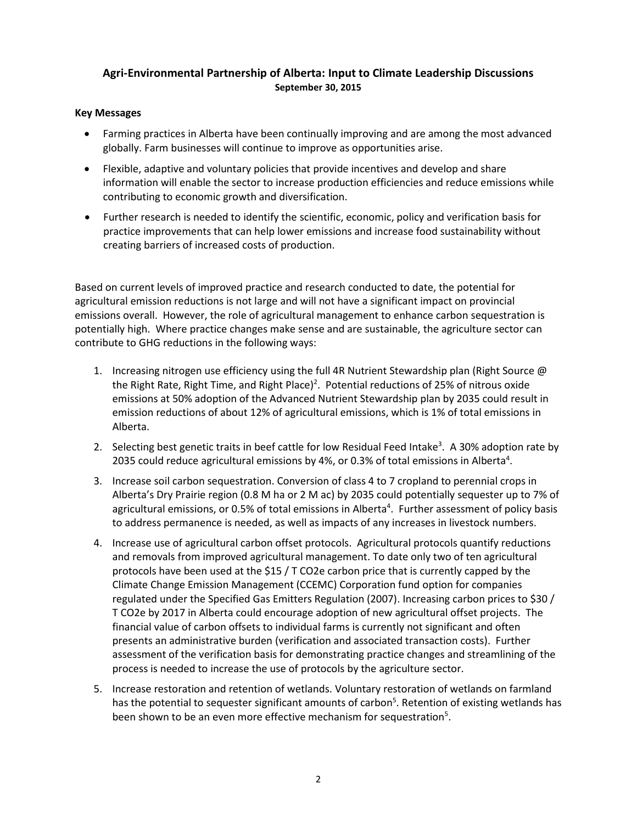# **Agri-Environmental Partnership of Alberta: Input to Climate Leadership Discussions September 30, 2015**

#### **Key Messages**

- Farming practices in Alberta have been continually improving and are among the most advanced globally. Farm businesses will continue to improve as opportunities arise.
- Flexible, adaptive and voluntary policies that provide incentives and develop and share information will enable the sector to increase production efficiencies and reduce emissions while contributing to economic growth and diversification.
- Further research is needed to identify the scientific, economic, policy and verification basis for practice improvements that can help lower emissions and increase food sustainability without creating barriers of increased costs of production.

Based on current levels of improved practice and research conducted to date, the potential for agricultural emission reductions is not large and will not have a significant impact on provincial emissions overall. However, the role of agricultural management to enhance carbon sequestration is potentially high. Where practice changes make sense and are sustainable, the agriculture sector can contribute to GHG reductions in the following ways:

- 1. Increasing nitrogen use efficiency using the full 4R Nutrient Stewardship plan (Right Source @ the Right Rate, Right Time, and Right Place)<sup>2</sup>. Potential reductions of 25% of nitrous oxide emissions at 50% adoption of the Advanced Nutrient Stewardship plan by 2035 could result in emission reductions of about 12% of agricultural emissions, which is 1% of total emissions in Alberta.
- 2. Selecting best genetic traits in beef cattle for low Residual Feed Intake<sup>3</sup>. A 30% adoption rate by 2035 could reduce agricultural emissions by 4%, or 0.3% of total emissions in Alberta<sup>4</sup>.
- 3. Increase soil carbon sequestration. Conversion of class 4 to 7 cropland to perennial crops in Alberta's Dry Prairie region (0.8 M ha or 2 M ac) by 2035 could potentially sequester up to 7% of agricultural emissions, or 0.5% of total emissions in Alberta<sup>4</sup>. Further assessment of policy basis to address permanence is needed, as well as impacts of any increases in livestock numbers.
- 4. Increase use of agricultural carbon offset protocols. Agricultural protocols quantify reductions and removals from improved agricultural management. To date only two of ten agricultural protocols have been used at the \$15 / T CO2e carbon price that is currently capped by the Climate Change Emission Management (CCEMC) Corporation fund option for companies regulated under the Specified Gas Emitters Regulation (2007). Increasing carbon prices to \$30 / T CO2e by 2017 in Alberta could encourage adoption of new agricultural offset projects. The financial value of carbon offsets to individual farms is currently not significant and often presents an administrative burden (verification and associated transaction costs). Further assessment of the verification basis for demonstrating practice changes and streamlining of the process is needed to increase the use of protocols by the agriculture sector.
- 5. Increase restoration and retention of wetlands. Voluntary restoration of wetlands on farmland has the potential to sequester significant amounts of carbon<sup>5</sup>. Retention of existing wetlands has been shown to be an even more effective mechanism for sequestration<sup>5</sup>.